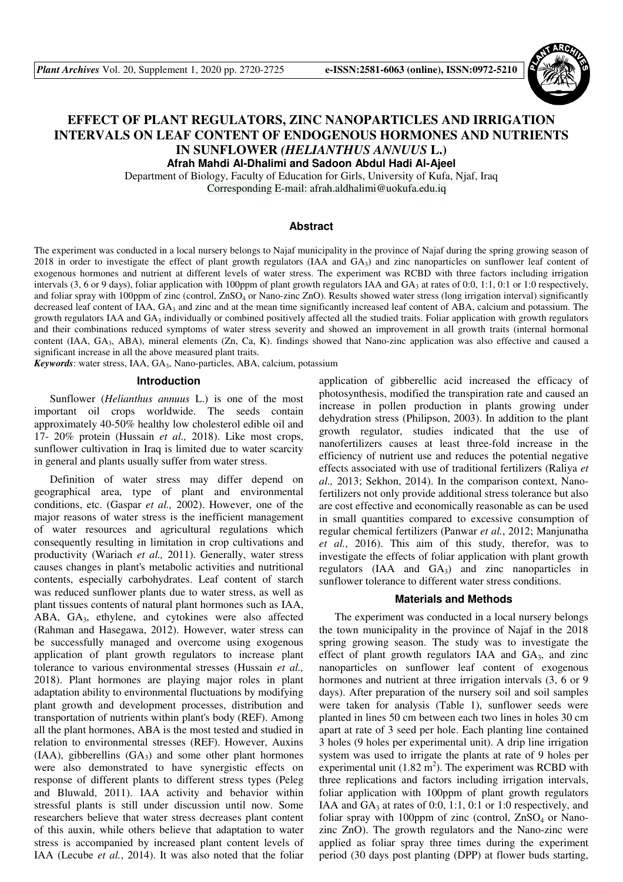

# **EFFECT OF PLANT REGULATORS, ZINC NANOPARTICLES AND IRRIGATION INTERVALS ON LEAF CONTENT OF ENDOGENOUS HORMONES AND NUTRIENTS IN SUNFLOWER** *(HELIANTHUS ANNUUS* **L.)**

**Afrah Mahdi Al-Dhalimi and Sadoon Abdul Hadi Al-Ajeel**  Department of Biology, Faculty of Education for Girls, University of Kufa, Njaf, Iraq

Corresponding E-mail: afrah.aldhalimi@uokufa.edu.iq

#### **Abstract**

The experiment was conducted in a local nursery belongs to Najaf municipality in the province of Najaf during the spring growing season of 2018 in order to investigate the effect of plant growth regulators (IAA and  $GA_3$ ) and zinc nanoparticles on sunflower leaf content of exogenous hormones and nutrient at different levels of water stress. The experiment was RCBD with three factors including irrigation intervals (3, 6 or 9 days), foliar application with 100ppm of plant growth regulators IAA and  $GA_3$  at rates of 0:0, 1:1, 0:1 or 1:0 respectively, and foliar spray with 100ppm of zinc (control, ZnSO<sub>4</sub> or Nano-zinc ZnO). Results showed water stress (long irrigation interval) significantly decreased leaf content of IAA, GA<sub>3</sub> and zinc and at the mean time significantly increased leaf content of ABA, calcium and potassium. The growth regulators IAA and GA<sub>3</sub> individually or combined positively affected all the studied traits. Foliar application with growth regulators and their combinations reduced symptoms of water stress severity and showed an improvement in all growth traits (internal hormonal content (IAA, GA3, ABA), mineral elements (Zn, Ca, K). findings showed that Nano-zinc application was also effective and caused a significant increase in all the above measured plant traits.

Keywords: water stress, IAA, GA<sub>3</sub>, Nano-particles, ABA, calcium, potassium

#### **Introduction**

Sunflower (*Helianthus annuus* L.) is one of the most important oil crops worldwide. The seeds contain approximately 40-50% healthy low cholesterol edible oil and 17- 20% protein (Hussain *et al.,* 2018). Like most crops, sunflower cultivation in Iraq is limited due to water scarcity in general and plants usually suffer from water stress.

Definition of water stress may differ depend on geographical area, type of plant and environmental conditions, etc. (Gaspar *et al.,* 2002). However, one of the major reasons of water stress is the inefficient management of water resources and agricultural regulations which consequently resulting in limitation in crop cultivations and productivity (Wariach *et al.,* 2011). Generally, water stress causes changes in plant's metabolic activities and nutritional contents, especially carbohydrates. Leaf content of starch was reduced sunflower plants due to water stress, as well as plant tissues contents of natural plant hormones such as IAA, ABA, GA3, ethylene, and cytokines were also affected (Rahman and Hasegawa, 2012). However, water stress can be successfully managed and overcome using exogenous application of plant growth regulators to increase plant tolerance to various environmental stresses (Hussain *et al.,* 2018). Plant hormones are playing major roles in plant adaptation ability to environmental fluctuations by modifying plant growth and development processes, distribution and transportation of nutrients within plant's body (REF). Among all the plant hormones, ABA is the most tested and studied in relation to environmental stresses (REF). However, Auxins  $(IAA)$ , gibberellins  $(GA_3)$  and some other plant hormones were also demonstrated to have synergistic effects on response of different plants to different stress types (Peleg and Bluwald, 2011). IAA activity and behavior within stressful plants is still under discussion until now. Some researchers believe that water stress decreases plant content of this auxin, while others believe that adaptation to water stress is accompanied by increased plant content levels of IAA (Lecube *et al.*, 2014). It was also noted that the foliar

application of gibberellic acid increased the efficacy of photosynthesis, modified the transpiration rate and caused an increase in pollen production in plants growing under dehydration stress (Philipson, 2003). In addition to the plant growth regulator, studies indicated that the use of nanofertilizers causes at least three-fold increase in the efficiency of nutrient use and reduces the potential negative effects associated with use of traditional fertilizers (Raliya *et al.,* 2013; Sekhon, 2014). In the comparison context, Nanofertilizers not only provide additional stress tolerance but also are cost effective and economically reasonable as can be used in small quantities compared to excessive consumption of regular chemical fertilizers (Panwar *et al.*, 2012; Manjunatha *et al.*, 2016). This aim of this study, therefor, was to investigate the effects of foliar application with plant growth regulators  $(IAA \text{ and } GA_3)$  and zinc nanoparticles in sunflower tolerance to different water stress conditions.

#### **Materials and Methods**

The experiment was conducted in a local nursery belongs the town municipality in the province of Najaf in the 2018 spring growing season. The study was to investigate the effect of plant growth regulators IAA and  $GA_3$ , and zinc nanoparticles on sunflower leaf content of exogenous hormones and nutrient at three irrigation intervals  $(3, 6 \text{ or } 9)$ days). After preparation of the nursery soil and soil samples were taken for analysis (Table 1), sunflower seeds were planted in lines 50 cm between each two lines in holes 30 cm apart at rate of 3 seed per hole. Each planting line contained 3 holes (9 holes per experimental unit). A drip line irrigation system was used to irrigate the plants at rate of 9 holes per experimental unit  $(1.82 \text{ m}^2)$ . The experiment was RCBD with three replications and factors including irrigation intervals, foliar application with 100ppm of plant growth regulators IAA and  $GA_3$  at rates of 0:0, 1:1, 0:1 or 1:0 respectively, and foliar spray with 100ppm of zinc (control,  $ZnSO<sub>4</sub>$  or Nanozinc ZnO). The growth regulators and the Nano-zinc were applied as foliar spray three times during the experiment period (30 days post planting (DPP) at flower buds starting,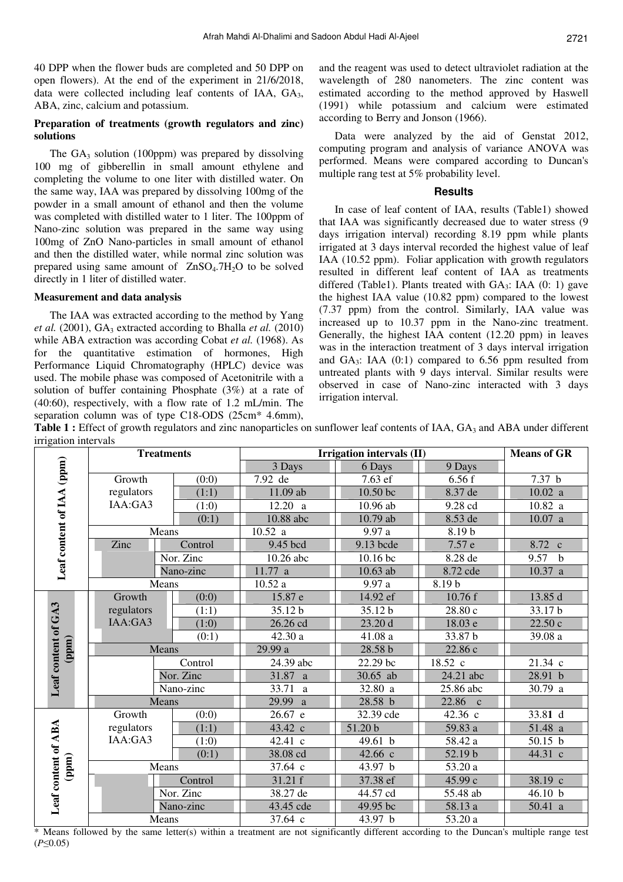40 DPP when the flower buds are completed and 50 DPP on open flowers). At the end of the experiment in 21/6/2018, data were collected including leaf contents of IAA, GA<sub>3</sub>, ABA, zinc, calcium and potassium.

## **Preparation of treatments (growth regulators and zinc) solutions**

The  $GA_3$  solution (100ppm) was prepared by dissolving 100 mg of gibberellin in small amount ethylene and completing the volume to one liter with distilled water. On the same way, IAA was prepared by dissolving 100mg of the powder in a small amount of ethanol and then the volume was completed with distilled water to 1 liter. The 100ppm of Nano-zinc solution was prepared in the same way using 100mg of ZnO Nano-particles in small amount of ethanol and then the distilled water, while normal zinc solution was prepared using same amount of  $ZnSO<sub>4</sub>$ .7H<sub>2</sub>O to be solved directly in 1 liter of distilled water.

## **Measurement and data analysis**

The IAA was extracted according to the method by Yang *et al.* (2001),  $GA_3$  extracted according to Bhalla *et al.* (2010) while ABA extraction was according Cobat *et al.* (1968). As for the quantitative estimation of hormones, High Performance Liquid Chromatography (HPLC) device was used. The mobile phase was composed of Acetonitrile with a solution of buffer containing Phosphate (3%) at a rate of (40:60), respectively, with a flow rate of 1.2 mL/min. The separation column was of type C18-ODS (25cm\* 4.6mm),

and the reagent was used to detect ultraviolet radiation at the wavelength of 280 nanometers. The zinc content was estimated according to the method approved by Haswell (1991) while potassium and calcium were estimated according to Berry and Jonson (1966).

Data were analyzed by the aid of Genstat 2012, computing program and analysis of variance ANOVA was performed. Means were compared according to Duncan's multiple rang test at 5% probability level.

## **Results**

In case of leaf content of IAA, results (Table1) showed that IAA was significantly decreased due to water stress (9 days irrigation interval) recording 8.19 ppm while plants irrigated at 3 days interval recorded the highest value of leaf IAA (10.52 ppm). Foliar application with growth regulators resulted in different leaf content of IAA as treatments differed (Table1). Plants treated with  $GA_3$ : IAA (0: 1) gave the highest IAA value (10.82 ppm) compared to the lowest (7.37 ppm) from the control. Similarly, IAA value was increased up to 10.37 ppm in the Nano-zinc treatment. Generally, the highest IAA content (12.20 ppm) in leaves was in the interaction treatment of 3 days interval irrigation and  $GA_3$ : IAA  $(0:1)$  compared to 6.56 ppm resulted from untreated plants with 9 days interval. Similar results were observed in case of Nano-zinc interacted with 3 days irrigation interval.

Table 1 : Effect of growth regulators and zinc nanoparticles on sunflower leaf contents of IAA, GA<sub>3</sub> and ABA under different irrigation intervals

| niigauvii muu vais           |            | <b>Treatments</b> | Irrigation intervals (II) | <b>Means of GR</b> |           |                      |
|------------------------------|------------|-------------------|---------------------------|--------------------|-----------|----------------------|
|                              |            |                   | 3 Days                    | 6 Days             | 9 Days    |                      |
| Leaf content of IAA (ppm)    | Growth     | (0:0)             | 7.92 de                   | 7.63 ef            | 6.56f     | 7.37 <sub>b</sub>    |
|                              | regulators | (1:1)             | 11.09 ab                  | 10.50 bc           | 8.37 de   | 10.02 a              |
|                              | IAA:GA3    | (1:0)             | 12.20 a                   | 10.96 ab           | 9.28 cd   | 10.82 a              |
|                              |            | (0:1)             | 10.88 abc                 | 10.79 ab           | 8.53 de   | 10.07 a              |
|                              |            | Means             | 10.52 a                   | 9.97a              | 8.19b     |                      |
|                              | Zinc       | Control           | 9.45 bcd                  | 9.13 bcde          | 7.57 e    | 8.72 c               |
|                              |            | Nor. Zinc         | $10.26$ abc               | 10.16 bc           | 8.28 de   | 9.57<br>$\mathbf{b}$ |
|                              |            | Nano-zinc         | 11.77 a                   | 10.63 ab           | 8.72 cde  | 10.37 a              |
|                              |            | Means             | 10.52a                    | 9.97a              | 8.19b     |                      |
| Leaf content of GA3<br>(ppm) | Growth     | (0:0)             | 15.87 e                   | 14.92 ef           | 10.76 f   | 13.85 d              |
|                              | regulators | (1:1)             | 35.12 b                   | 35.12 b            | 28.80 c   | 33.17 b              |
|                              | IAA:GA3    | (1:0)             | 26.26 cd                  | 23.20 d            | 18.03 e   | 22.50 c              |
|                              |            | (0:1)             | 42.30 a                   | 41.08 a            | 33.87 b   | 39.08 a              |
|                              | Means      |                   | 29.99 a                   | 28.58 b            | 22.86 c   |                      |
|                              |            | Control           | 24.39 abc                 | 22.29 bc           | 18.52 c   | 21.34 c              |
|                              | Nor. Zinc  |                   | 31.87 a                   | 30.65 ab           | 24.21 abc | 28.91 b              |
|                              |            | Nano-zinc         | 33.71<br><sub>a</sub>     | 32.80 a            | 25.86 abc | 30.79 a              |
|                              |            | Means             | 29.99 a                   | 28.58 b            | 22.86 c   |                      |
| Leaf content of ABA<br>(ppm) | Growth     | (0:0)             | 26.67 e                   | 32.39 cde          | 42.36 c   | 33.81 d              |
|                              | regulators | (1:1)             | 43.42 c                   | 51.20 b            | 59.83 a   | 51.48 a              |
|                              | IAA:GA3    | (1:0)             | 42.41 c                   | 49.61 b            | 58.42 a   | 50.15 b              |
|                              | (0:1)      |                   | 38.08 cd                  | 42.66 c            | 52.19 b   | 44.31 c              |
|                              |            | Means             | 37.64 c                   | 43.97 b            | 53.20 a   |                      |
|                              | Control    |                   | 31.21 f                   | 37.38 ef           | 45.99 с   | $38.19$ c            |
|                              | Nor. Zinc  |                   | 38.27 de                  | 44.57 cd           | 55.48 ab  | 46.10 b              |
|                              |            | Nano-zinc         | 43.45 cde                 | 49.95 bc           | 58.13 a   | 50.41 a              |
|                              |            | Means             | 37.64 c                   | 43.97 b            | 53.20 a   |                      |

\* Means followed by the same letter(s) within a treatment are not significantly different according to the Duncan's multiple range test (*P*≤0.05)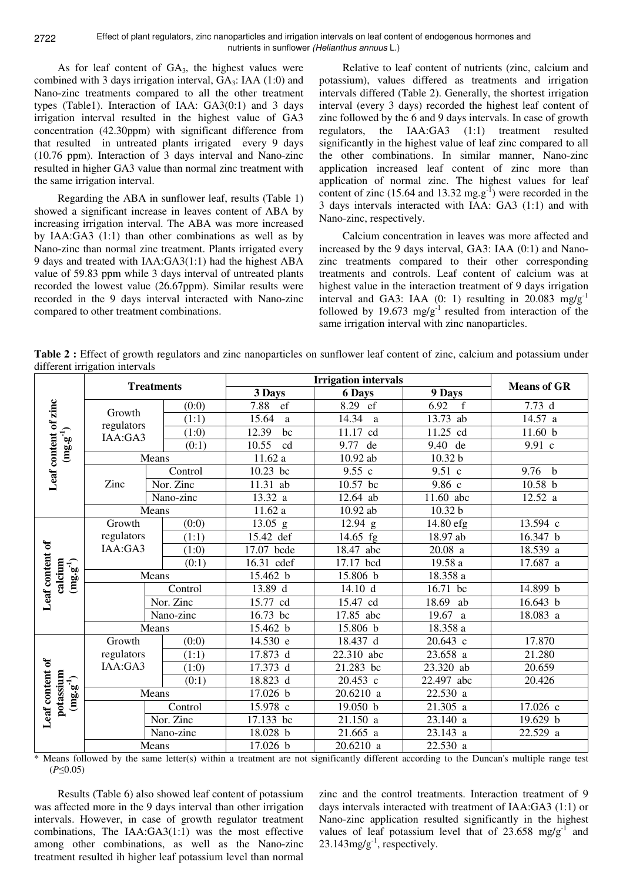Effect of plant regulators, zinc nanoparticles and irrigation intervals on leaf content of endogenous hormones and nutrients in sunflower (Helianthus annuus L.)

As for leaf content of  $GA_3$ , the highest values were combined with 3 days irrigation interval,  $GA_3$ : IAA (1:0) and Nano-zinc treatments compared to all the other treatment types (Table1). Interaction of IAA: GA3(0:1) and 3 days irrigation interval resulted in the highest value of GA3 concentration (42.30ppm) with significant difference from that resulted in untreated plants irrigated every 9 days (10.76 ppm). Interaction of 3 days interval and Nano-zinc resulted in higher GA3 value than normal zinc treatment with the same irrigation interval.

Regarding the ABA in sunflower leaf, results (Table 1) showed a significant increase in leaves content of ABA by increasing irrigation interval. The ABA was more increased by IAA:GA3 (1:1) than other combinations as well as by Nano-zinc than normal zinc treatment. Plants irrigated every 9 days and treated with IAA:GA3(1:1) had the highest ABA value of 59.83 ppm while 3 days interval of untreated plants recorded the lowest value (26.67ppm). Similar results were recorded in the 9 days interval interacted with Nano-zinc compared to other treatment combinations.

Relative to leaf content of nutrients (zinc, calcium and potassium), values differed as treatments and irrigation intervals differed (Table 2). Generally, the shortest irrigation interval (every 3 days) recorded the highest leaf content of zinc followed by the 6 and 9 days intervals. In case of growth regulators, the IAA:GA3 (1:1) treatment resulted significantly in the highest value of leaf zinc compared to all the other combinations. In similar manner, Nano-zinc application increased leaf content of zinc more than application of normal zinc. The highest values for leaf content of zinc (15.64 and 13.32 mg.g<sup>-1</sup>) were recorded in the 3 days intervals interacted with IAA: GA3 (1:1) and with Nano-zinc, respectively.

Calcium concentration in leaves was more affected and increased by the 9 days interval, GA3: IAA (0:1) and Nanozinc treatments compared to their other corresponding treatments and controls. Leaf content of calcium was at highest value in the interaction treatment of 9 days irrigation interval and GA3: IAA  $(0: 1)$  resulting in 20.083 mg/g<sup>-1</sup> followed by 19.673 mg/g<sup>-1</sup> resulted from interaction of the same irrigation interval with zinc nanoparticles.

**Table 2 :** Effect of growth regulators and zinc nanoparticles on sunflower leaf content of zinc, calcium and potassium under different irrigation intervals

|                                                                   | unicient niigation mtervans<br><b>Treatments</b> |           | <b>Irrigation intervals</b> |                         |             |                     |            |
|-------------------------------------------------------------------|--------------------------------------------------|-----------|-----------------------------|-------------------------|-------------|---------------------|------------|
|                                                                   |                                                  |           | 3 Days                      | <b>6 Days</b>           | 9 Days      | <b>Means of GR</b>  |            |
| Leaf content of zinc<br>$(\mathbf{mg}.\mathbf{g}^{-1})$           |                                                  |           | (0:0)                       | $\overline{ef}$<br>7.88 | ef<br>8.29  | 6.92<br>$\mathbf f$ | 7.73d      |
|                                                                   | Growth                                           |           | (1:1)                       | 15.64<br>a              | 14.34<br>a  | 13.73 ab            | 14.57 a    |
|                                                                   | regulators<br>IAA:GA3                            |           | (1:0)                       | 12.39<br>bc             | 11.17<br>cd | 11.25 cd            | 11.60 b    |
|                                                                   |                                                  |           | (0:1)                       | 10.55<br>cd             | 9.77<br>de  | 9.40<br>de          | 9.91 c     |
|                                                                   | Means                                            |           | 11.62 a                     | 10.92 ab                | 10.32 b     |                     |            |
|                                                                   | Zinc                                             | Control   |                             | 10.23 bc                | 9.55c       | 9.51 c              | 9.76 $b$   |
|                                                                   |                                                  | Nor. Zinc |                             | 11.31 ab                | 10.57 bc    | 9.86 с              | 10.58 b    |
|                                                                   |                                                  | Nano-zinc |                             | 13.32 a                 | 12.64 ab    | 11.60 abc           | 12.52 a    |
|                                                                   | Means                                            |           |                             | 11.62a                  | $10.92$ ab  | 10.32 b             |            |
| Leaf content of<br>calcium<br>$(\mathbf{mg}.\mathbf{g}^{-1})$     | Growth<br>regulators                             |           | (0:0)                       | $13.05$ g               | $12.94$ g   | 14.80 efg           | 13.594 c   |
|                                                                   |                                                  |           | (1:1)                       | 15.42 def               | 14.65 fg    | 18.97 ab            | 16.347 b   |
|                                                                   | IAA:GA3                                          |           | (1:0)                       | 17.07 bcde              | 18.47 abc   | $20.08$ a           | 18.539 a   |
|                                                                   |                                                  |           | (0:1)                       | 16.31 cdef              | 17.17 bcd   | 19.58 a             | 17.687 a   |
|                                                                   | Means                                            |           | 15.462 b                    | 15.806 b                | 18.358 a    |                     |            |
|                                                                   |                                                  |           | Control                     | 13.89 d                 | 14.10 d     | 16.71 bc            | 14.899 b   |
|                                                                   |                                                  |           | Nor. Zinc                   | 15.77 cd                | 15.47 cd    | 18.69 ab            | 16.643 b   |
|                                                                   | Nano-zinc                                        |           | 16.73 bc                    | 17.85 abc               | 19.67 a     | 18.083 a            |            |
|                                                                   | Means                                            |           | 15.462 b                    | 15.806 b                | 18.358 a    |                     |            |
| ð<br>Leaf content<br>potassium<br>$(\mathbf{mg}.\mathbf{g}^{-1})$ | Growth                                           |           | (0:0)                       | 14.530 e                | 18.437 d    | 20.643 c            | 17.870     |
|                                                                   | regulators                                       |           | (1:1)                       | 17.873 d                | 22.310 abc  | 23.658 a            | 21.280     |
|                                                                   | IAA:GA3                                          |           | (1:0)                       | 17.373 d                | 21.283 bc   | 23.320 ab           | 20.659     |
|                                                                   |                                                  |           | (0:1)                       | 18.823 d                | 20.453 c    | 22.497 abc          | 20.426     |
|                                                                   | Means                                            |           | 17.026 b                    | 20.6210 a               | 22.530 a    |                     |            |
|                                                                   |                                                  |           | Control                     | 15.978 c                | 19.050 b    | 21.305 a            | 17.026 c   |
|                                                                   |                                                  |           | Nor. Zinc                   | 17.133 bc               | 21.150 a    | 23.140 a            | 19.629 b   |
|                                                                   |                                                  |           | Nano-zinc                   | 18.028 b                | 21.665 a    | 23.143 a            | $22.529$ a |
|                                                                   | Means                                            |           | 17.026 b                    | 20.6210 a               | 22.530 a    |                     |            |

\* Means followed by the same letter(s) within a treatment are not significantly different according to the Duncan's multiple range test (*P*≤0.05)

Results (Table 6) also showed leaf content of potassium was affected more in the 9 days interval than other irrigation intervals. However, in case of growth regulator treatment combinations, The IAA:GA3(1:1) was the most effective among other combinations, as well as the Nano-zinc treatment resulted ih higher leaf potassium level than normal zinc and the control treatments. Interaction treatment of 9 days intervals interacted with treatment of IAA:GA3 (1:1) or Nano-zinc application resulted significantly in the highest values of leaf potassium level that of  $23.658 \text{ mg/g}^{-1}$  and  $23.143$ mg/g<sup>-1</sup>, respectively.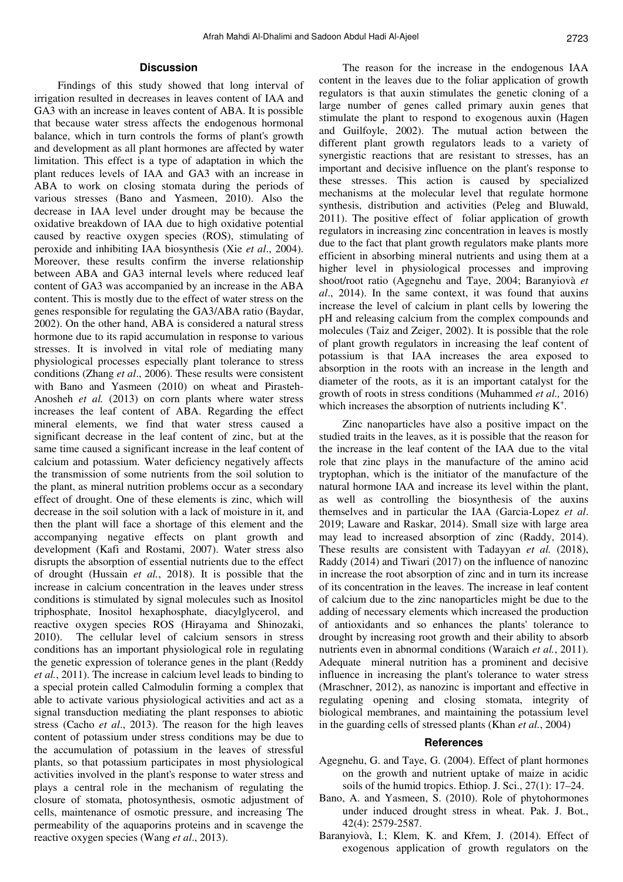# 2723

### **Discussion**

Findings of this study showed that long interval of irrigation resulted in decreases in leaves content of IAA and GA3 with an increase in leaves content of ABA. It is possible that because water stress affects the endogenous hormonal balance, which in turn controls the forms of plant's growth and development as all plant hormones are affected by water limitation. This effect is a type of adaptation in which the plant reduces levels of IAA and GA3 with an increase in ABA to work on closing stomata during the periods of various stresses (Bano and Yasmeen, 2010). Also the decrease in IAA level under drought may be because the oxidative breakdown of IAA due to high oxidative potential caused by reactive oxygen species (ROS), stimulating of peroxide and inhibiting IAA biosynthesis (Xie *et al*., 2004). Moreover, these results confirm the inverse relationship between ABA and GA3 internal levels where reduced leaf content of GA3 was accompanied by an increase in the ABA content. This is mostly due to the effect of water stress on the genes responsible for regulating the GA3/ABA ratio (Baydar, 2002). On the other hand, ABA is considered a natural stress hormone due to its rapid accumulation in response to various stresses. It is involved in vital role of mediating many physiological processes especially plant tolerance to stress conditions (Zhang *et al*., 2006). These results were consistent with Bano and Yasmeen (2010) on wheat and Pirasteh-Anosheh *et al.* (2013) on corn plants where water stress increases the leaf content of ABA. Regarding the effect mineral elements, we find that water stress caused a significant decrease in the leaf content of zinc, but at the same time caused a significant increase in the leaf content of calcium and potassium. Water deficiency negatively affects the transmission of some nutrients from the soil solution to the plant, as mineral nutrition problems occur as a secondary effect of drought. One of these elements is zinc, which will decrease in the soil solution with a lack of moisture in it, and then the plant will face a shortage of this element and the accompanying negative effects on plant growth and development (Kafi and Rostami, 2007). Water stress also disrupts the absorption of essential nutrients due to the effect of drought (Hussain *et al.*, 2018). It is possible that the increase in calcium concentration in the leaves under stress conditions is stimulated by signal molecules such as Inositol triphosphate, Inositol hexaphosphate, diacylglycerol, and reactive oxygen species ROS (Hirayama and Shinozaki, 2010). The cellular level of calcium sensors in stress conditions has an important physiological role in regulating the genetic expression of tolerance genes in the plant (Reddy *et al.*, 2011). The increase in calcium level leads to binding to a special protein called Calmodulin forming a complex that able to activate various physiological activities and act as a signal transduction mediating the plant responses to abiotic stress (Cacho *et al*., 2013). The reason for the high leaves content of potassium under stress conditions may be due to the accumulation of potassium in the leaves of stressful plants, so that potassium participates in most physiological activities involved in the plant's response to water stress and plays a central role in the mechanism of regulating the closure of stomata, photosynthesis, osmotic adjustment of cells, maintenance of osmotic pressure, and increasing The permeability of the aquaporins proteins and in scavenge the reactive oxygen species (Wang *et al*., 2013).

The reason for the increase in the endogenous IAA content in the leaves due to the foliar application of growth regulators is that auxin stimulates the genetic cloning of a large number of genes called primary auxin genes that stimulate the plant to respond to exogenous auxin (Hagen and Guilfoyle, 2002). The mutual action between the different plant growth regulators leads to a variety of synergistic reactions that are resistant to stresses, has an important and decisive influence on the plant's response to these stresses. This action is caused by specialized mechanisms at the molecular level that regulate hormone synthesis, distribution and activities (Peleg and Bluwald, 2011). The positive effect of foliar application of growth regulators in increasing zinc concentration in leaves is mostly due to the fact that plant growth regulators make plants more efficient in absorbing mineral nutrients and using them at a higher level in physiological processes and improving shoot/root ratio (Agegnehu and Taye, 2004; Baranyiovà *et al*., 2014). In the same context, it was found that auxins increase the level of calcium in plant cells by lowering the pH and releasing calcium from the complex compounds and molecules (Taiz and Zeiger, 2002). It is possible that the role of plant growth regulators in increasing the leaf content of potassium is that IAA increases the area exposed to absorption in the roots with an increase in the length and diameter of the roots, as it is an important catalyst for the growth of roots in stress conditions (Muhammed *et al.,* 2016) which increases the absorption of nutrients including  $K^+$ .

Zinc nanoparticles have also a positive impact on the studied traits in the leaves, as it is possible that the reason for the increase in the leaf content of the IAA due to the vital role that zinc plays in the manufacture of the amino acid tryptophan, which is the initiator of the manufacture of the natural hormone IAA and increase its level within the plant, as well as controlling the biosynthesis of the auxins themselves and in particular the IAA (Garcia-Lopez *et al*. 2019; Laware and Raskar, 2014). Small size with large area may lead to increased absorption of zinc (Raddy, 2014). These results are consistent with Tadayyan *et al.* (2018), Raddy (2014) and Tiwari (2017) on the influence of nanozinc in increase the root absorption of zinc and in turn its increase of its concentration in the leaves. The increase in leaf content of calcium due to the zinc nanoparticles might be due to the adding of necessary elements which increased the production of antioxidants and so enhances the plants' tolerance to drought by increasing root growth and their ability to absorb nutrients even in abnormal conditions (Waraich *et al.*, 2011). Adequate mineral nutrition has a prominent and decisive influence in increasing the plant's tolerance to water stress (Mraschner, 2012), as nanozinc is important and effective in regulating opening and closing stomata, integrity of biological membranes, and maintaining the potassium level in the guarding cells of stressed plants (Khan *et al.*, 2004)

#### **References**

- Agegnehu, G. and Taye, G. (2004). Effect of plant hormones on the growth and nutrient uptake of maize in acidic soils of the humid tropics. Ethiop. J. Sci., 27(1): 17–24.
- Bano, A. and Yasmeen, S. (2010). Role of phytohormones under induced drought stress in wheat. Pak. J. Bot., 42(4): 2579-2587.
- Baranyiovà, I.; Klem, K. and Křem, J. (2014). Effect of exogenous application of growth regulators on the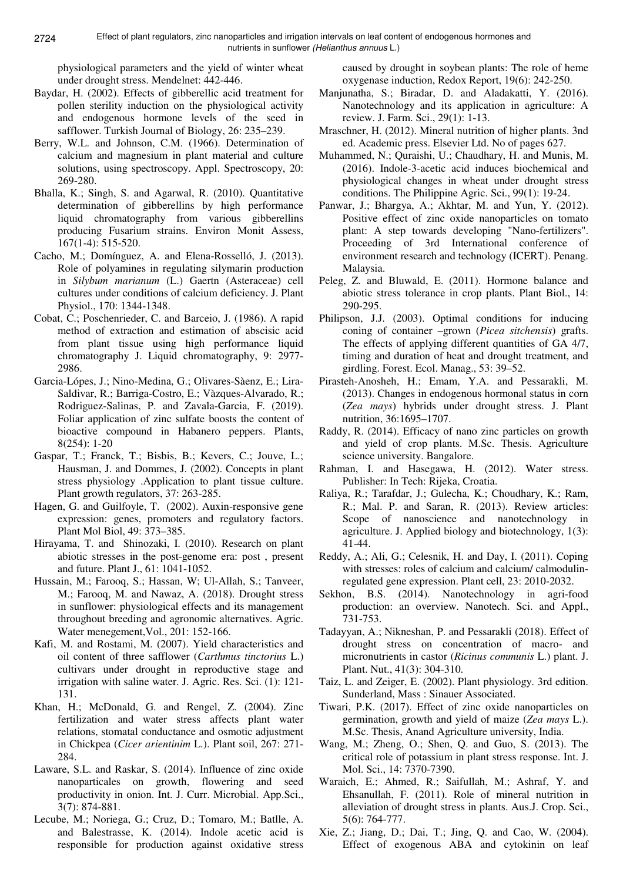physiological parameters and the yield of winter wheat under drought stress. Mendelnet: 442-446.

- Baydar, H. (2002). Effects of gibberellic acid treatment for pollen sterility induction on the physiological activity and endogenous hormone levels of the seed in safflower. Turkish Journal of Biology, 26: 235–239.
- Berry, W.L. and Johnson, C.M. (1966). Determination of calcium and magnesium in plant material and culture solutions, using spectroscopy. Appl. Spectroscopy, 20: 269-280.
- Bhalla, K.; Singh, S. and Agarwal, R. (2010). Quantitative determination of gibberellins by high performance liquid chromatography from various gibberellins producing Fusarium strains. Environ Monit Assess, 167(1-4): 515-520.
- Cacho, M.; Domínguez, A. and Elena-Rosselló, J. (2013). Role of polyamines in regulating silymarin production in *Silybum marianum* (L.) Gaertn (Asteraceae) cell cultures under conditions of calcium deficiency. J. Plant Physiol., 170: 1344-1348.
- Cobat, C.; Poschenrieder, C. and Barceio, J. (1986). A rapid method of extraction and estimation of abscisic acid from plant tissue using high performance liquid chromatography J. Liquid chromatography, 9: 2977- 2986.
- Garcia-Lópes, J.; Nino-Medina, G.; Olivares-Sàenz, E.; Lira-Saldivar, R.; Barriga-Costro, E.; Vàzques-Alvarado, R.; Rodriguez-Salinas, P. and Zavala-Garcia, F. (2019). Foliar application of zinc sulfate boosts the content of bioactive compound in Habanero peppers. Plants, 8(254): 1-20
- Gaspar, T.; Franck, T.; Bisbis, B.; Kevers, C.; Jouve, L.; Hausman, J. and Dommes, J. (2002). Concepts in plant stress physiology .Application to plant tissue culture. Plant growth regulators, 37: 263-285.
- Hagen, G. and Guilfoyle, T. (2002). Auxin-responsive gene expression: genes, promoters and regulatory factors. Plant Mol Biol, 49: 373–385.
- Hirayama, T. and Shinozaki, I. (2010). Research on plant abiotic stresses in the post-genome era: post , present and future. Plant J., 61: 1041-1052.
- Hussain, M.; Farooq, S.; Hassan, W; Ul-Allah, S.; Tanveer, M.; Farooq, M. and Nawaz, A. (2018). Drought stress in sunflower: physiological effects and its management throughout breeding and agronomic alternatives. Agric. Water menegement,Vol., 201: 152-166.
- Kafi, M. and Rostami, M. (2007). Yield characteristics and oil content of three safflower (*Carthmus tinctorius* L.) cultivars under drought in reproductive stage and irrigation with saline water. J. Agric. Res. Sci. (1): 121- 131.
- Khan, H.; McDonald, G. and Rengel, Z. (2004). Zinc fertilization and water stress affects plant water relations, stomatal conductance and osmotic adjustment in Chickpea (*Cicer arientinim* L.). Plant soil, 267: 271- 284.
- Laware, S.L. and Raskar, S. (2014). Influence of zinc oxide nanoparticales on growth, flowering and seed productivity in onion. Int. J. Curr. Microbial. App.Sci., 3(7): 874-881.
- Lecube, M.; Noriega, G.; Cruz, D.; Tomaro, M.; Batlle, A. and Balestrasse, K. (2014). Indole acetic acid is responsible for production against oxidative stress

caused by drought in soybean plants: The role of heme oxygenase induction, Redox Report, 19(6): 242-250.

- Manjunatha, S.; Biradar, D. and Aladakatti, Y. (2016). Nanotechnology and its application in agriculture: A review. J. Farm. Sci., 29(1): 1-13.
- Mraschner, H. (2012). Mineral nutrition of higher plants. 3nd ed. Academic press. Elsevier Ltd. No of pages 627.
- Muhammed, N.; Quraishi, U.; Chaudhary, H. and Munis, M. (2016). Indole-3-acetic acid induces biochemical and physiological changes in wheat under drought stress conditions. The Philippine Agric. Sci., 99(1): 19-24.
- Panwar, J.; Bhargya, A.; Akhtar, M. and Yun, Y. (2012). Positive effect of zinc oxide nanoparticles on tomato plant: A step towards developing "Nano-fertilizers". Proceeding of 3rd International conference of environment research and technology (ICERT). Penang. Malaysia.
- Peleg, Z. and Bluwald, E. (2011). Hormone balance and abiotic stress tolerance in crop plants. Plant Biol., 14: 290-295.
- Philipson, J.J. (2003). Optimal conditions for inducing coning of container –grown (*Picea sitchensis*) grafts. The effects of applying different quantities of GA 4/7, timing and duration of heat and drought treatment, and girdling. Forest. Ecol. Manag., 53: 39–52.
- Pirasteh-Anosheh, H.; Emam, Y.A. and Pessarakli, M. (2013). Changes in endogenous hormonal status in corn (*Zea mays*) hybrids under drought stress. J. Plant nutrition, 36:1695–1707.
- Raddy, R. (2014). Efficacy of nano zinc particles on growth and yield of crop plants. M.Sc. Thesis. Agriculture science university. Bangalore.
- Rahman, I. and Hasegawa, H. (2012). Water stress. Publisher: In Tech: Rijeka, Croatia.
- Raliya, R.; Tarafdar, J.; Gulecha, K.; Choudhary, K.; Ram, R.; Mal. P. and Saran, R. (2013). Review articles: Scope of nanoscience and nanotechnology in agriculture. J. Applied biology and biotechnology, 1(3): 41-44.
- Reddy, A.; Ali, G.; Celesnik, H. and Day, I. (2011). Coping with stresses: roles of calcium and calcium/ calmodulinregulated gene expression. Plant cell, 23: 2010-2032.
- Sekhon, B.S. (2014). Nanotechnology in agri-food production: an overview. Nanotech. Sci. and Appl., 731-753.
- Tadayyan, A.; Nikneshan, P. and Pessarakli (2018). Effect of drought stress on concentration of macro- and micronutrients in castor (*Ricinus communis* L.) plant. J. Plant. Nut., 41(3): 304-310.
- Taiz, L. and Zeiger, E. (2002). Plant physiology. 3rd edition. Sunderland, Mass : Sinauer Associated.
- Tiwari, P.K. (2017). Effect of zinc oxide nanoparticles on germination, growth and yield of maize (*Zea mays* L.). M.Sc. Thesis, Anand Agriculture university, India.
- Wang, M.; Zheng, O.; Shen, Q. and Guo, S. (2013). The critical role of potassium in plant stress response. Int. J. Mol. Sci., 14: 7370-7390.
- Waraich, E.; Ahmed, R.; Saifullah, M.; Ashraf, Y. and Ehsanullah, F. (2011). Role of mineral nutrition in alleviation of drought stress in plants. Aus.J. Crop. Sci., 5(6): 764-777.
- Xie, Z.; Jiang, D.; Dai, T.; Jing, Q. and Cao, W. (2004). Effect of exogenous ABA and cytokinin on leaf

2724